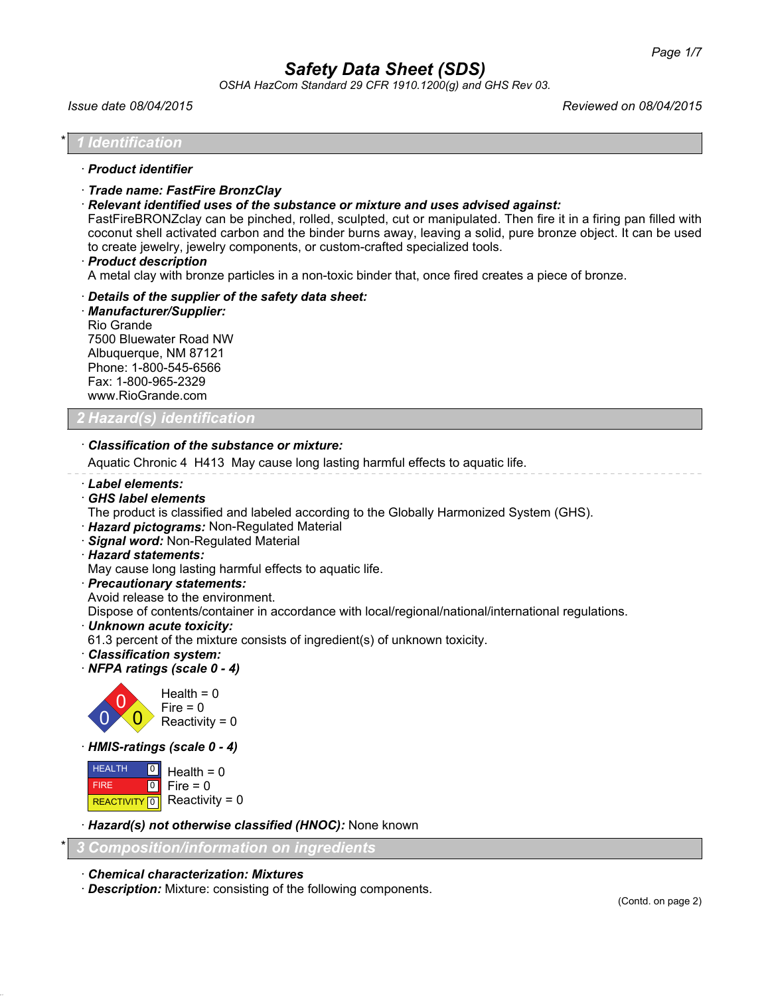*OSHA HazCom Standard 29 CFR 1910.1200(g) and GHS Rev 03.*

*Issue date 08/04/2015 Reviewed on 08/04/2015*

### \* *1 Identification*

## · *Product identifier*

- · *Trade name: FastFire BronzClay*
- · *Relevant identified uses of the substance or mixture and uses advised against:*

FastFireBRONZclay can be pinched, rolled, sculpted, cut or manipulated. Then fire it in a firing pan filled with coconut shell activated carbon and the binder burns away, leaving a solid, pure bronze object. It can be used to create jewelry, jewelry components, or custom-crafted specialized tools.

· *Product description*

A metal clay with bronze particles in a non-toxic binder that, once fired creates a piece of bronze.

· *Details of the supplier of the safety data sheet:* · *Manufacturer/Supplier:* Rio Grande 7500 Bluewater Road NW Albuquerque, NM 87121 Phone: 1-800-545-6566 Fax: 1-800-965-2329 www.RioGrande.com

# *2 Hazard(s) identification*

### · *Classification of the substance or mixture:*

Aquatic Chronic 4 H413 May cause long lasting harmful effects to aquatic life.

- · *Label elements:*
- · *GHS label elements*
- The product is classified and labeled according to the Globally Harmonized System (GHS).
- · *Hazard pictograms:* Non-Regulated Material
- · *Signal word:* Non-Regulated Material
- · *Hazard statements:*

May cause long lasting harmful effects to aquatic life.

- · *Precautionary statements:*
- Avoid release to the environment.

Dispose of contents/container in accordance with local/regional/national/international regulations.

· *Unknown acute toxicity:*

61.3 percent of the mixture consists of ingredient(s) of unknown toxicity.

- · *Classification system:*
- · *NFPA ratings (scale 0 4)*



Reactivity =  $0$ 

· *HMIS-ratings (scale 0 - 4)*

```
 HEALTH
 FIRE
REACTIVITY 0
              \overline{0}\overline{0}Health = 0Fire = 0Reactivity = 0
```
· *Hazard(s) not otherwise classified (HNOC):* None known

```
* 3 Composition/information on ingredients
```

```
· Chemical characterization: Mixtures
```
· *Description:* Mixture: consisting of the following components.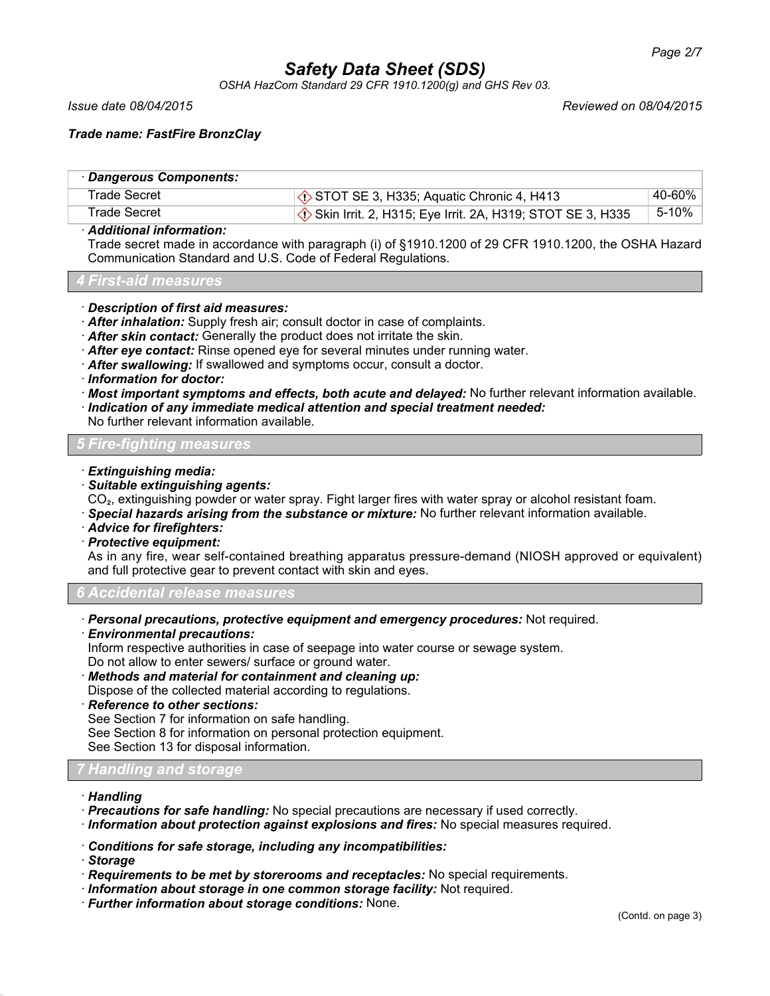*OSHA HazCom Standard 29 CFR 1910.1200(g) and GHS Rev 03.*

#### *Issue date 08/04/2015 Reviewed on 08/04/2015*

# *Trade name: FastFire BronzClay*

| · Dangerous Components: |                                                                      |        |
|-------------------------|----------------------------------------------------------------------|--------|
| Trade Secret            | $\Diamond$ STOT SE 3, H335; Aquatic Chronic 4, H413                  | 40-60% |
| <b>Trade Secret</b>     | $\Diamond$ Skin Irrit. 2, H315; Eye Irrit. 2A, H319; STOT SE 3, H335 | 5-10%  |

### · *Additional information:*

Trade secret made in accordance with paragraph (i) of §1910.1200 of 29 CFR 1910.1200, the OSHA Hazard Communication Standard and U.S. Code of Federal Regulations.

#### *4 First-aid measures*

### · *Description of first aid measures:*

- · *After inhalation:* Supply fresh air; consult doctor in case of complaints.
- · *After skin contact:* Generally the product does not irritate the skin.
- · *After eye contact:* Rinse opened eye for several minutes under running water.
- · *After swallowing:* If swallowed and symptoms occur, consult a doctor.
- · *Information for doctor:*
- · *Most important symptoms and effects, both acute and delayed:* No further relevant information available.
- · *Indication of any immediate medical attention and special treatment needed:*

No further relevant information available.

# *5 Fire-fighting measures*

- · *Extinguishing media:*
- · *Suitable extinguishing agents:*

CO₂, extinguishing powder or water spray. Fight larger fires with water spray or alcohol resistant foam.

- · *Special hazards arising from the substance or mixture:* No further relevant information available.
- · *Advice for firefighters:*
- · *Protective equipment:*

As in any fire, wear self-contained breathing apparatus pressure-demand (NIOSH approved or equivalent) and full protective gear to prevent contact with skin and eyes.

#### *6 Accidental release measures*

- · *Personal precautions, protective equipment and emergency procedures:* Not required.
- · *Environmental precautions:*

Inform respective authorities in case of seepage into water course or sewage system.

Do not allow to enter sewers/ surface or ground water.

- · *Methods and material for containment and cleaning up:*
- Dispose of the collected material according to regulations.

## · *Reference to other sections:*

See Section 7 for information on safe handling.

See Section 8 for information on personal protection equipment.

See Section 13 for disposal information.

## *7 Handling and storage*

- · *Handling*
- · *Precautions for safe handling:* No special precautions are necessary if used correctly.
- · *Information about protection against explosions and fires:* No special measures required.
- · *Conditions for safe storage, including any incompatibilities:*
- · *Storage*
- · *Requirements to be met by storerooms and receptacles:* No special requirements.
- · *Information about storage in one common storage facility:* Not required.
- · *Further information about storage conditions:* None.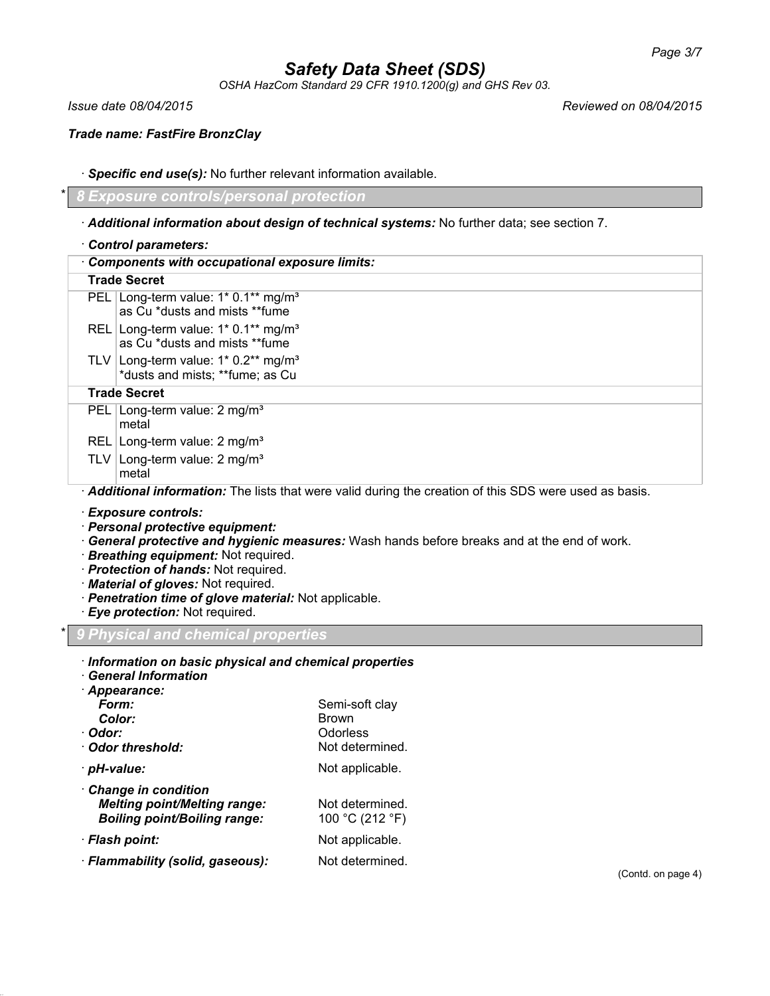*OSHA HazCom Standard 29 CFR 1910.1200(g) and GHS Rev 03.*

*Issue date 08/04/2015 Reviewed on 08/04/2015*

*Trade name: FastFire BronzClay*

· *Specific end use(s):* No further relevant information available.

\* *8 Exposure controls/personal protection*

# · *Additional information about design of technical systems:* No further data; see section 7.

|  | Control parameters: |
|--|---------------------|
|--|---------------------|

| <b>Components with occupational exposure limits:</b>                                                  |                                                                                     |
|-------------------------------------------------------------------------------------------------------|-------------------------------------------------------------------------------------|
|                                                                                                       | <b>Trade Secret</b>                                                                 |
|                                                                                                       | PEL Long-term value: 1* 0.1** mg/m <sup>3</sup><br>as Cu *dusts and mists **fume    |
|                                                                                                       | REL Long-term value: $1*$ 0.1** mg/m <sup>3</sup><br>as Cu *dusts and mists **fume  |
|                                                                                                       | TLV Long-term value: $1*0.2**$ mg/m <sup>3</sup><br>*dusts and mists; **fume; as Cu |
| <b>Trade Secret</b>                                                                                   |                                                                                     |
|                                                                                                       | PEL   Long-term value: $2 \text{ mg/m}^3$<br>metal                                  |
|                                                                                                       | REL   Long-term value: $2 \text{ mg/m}^3$                                           |
|                                                                                                       | TLV   Long-term value: $2 \text{ mg/m}^3$<br>metal                                  |
| Additional information: The lists that were valid during the creation of this SDS were used as basis. |                                                                                     |
|                                                                                                       |                                                                                     |

· *Exposure controls:*

- · *Personal protective equipment:*
- · *General protective and hygienic measures:* Wash hands before breaks and at the end of work.
- · *Breathing equipment:* Not required.
- · *Protection of hands:* Not required.
- · *Material of gloves:* Not required.
- · *Penetration time of glove material:* Not applicable.
- · *Eye protection:* Not required.

\* *9 Physical and chemical properties*

| Information on basic physical and chemical properties<br><b>General Information</b><br>· Appearance:     |                                                               |
|----------------------------------------------------------------------------------------------------------|---------------------------------------------------------------|
| Form:<br>Color:<br>· Odor:<br>Odor threshold:                                                            | Semi-soft clay<br><b>Brown</b><br>Odorless<br>Not determined. |
| · pH-value:                                                                                              | Not applicable.                                               |
| <b>Change in condition</b><br><b>Melting point/Melting range:</b><br><b>Boiling point/Boiling range:</b> | Not determined.<br>100 °C (212 °F)                            |
| · Flash point:                                                                                           | Not applicable.                                               |
| · Flammability (solid, gaseous):                                                                         | Not determined.                                               |

(Contd. on page 4)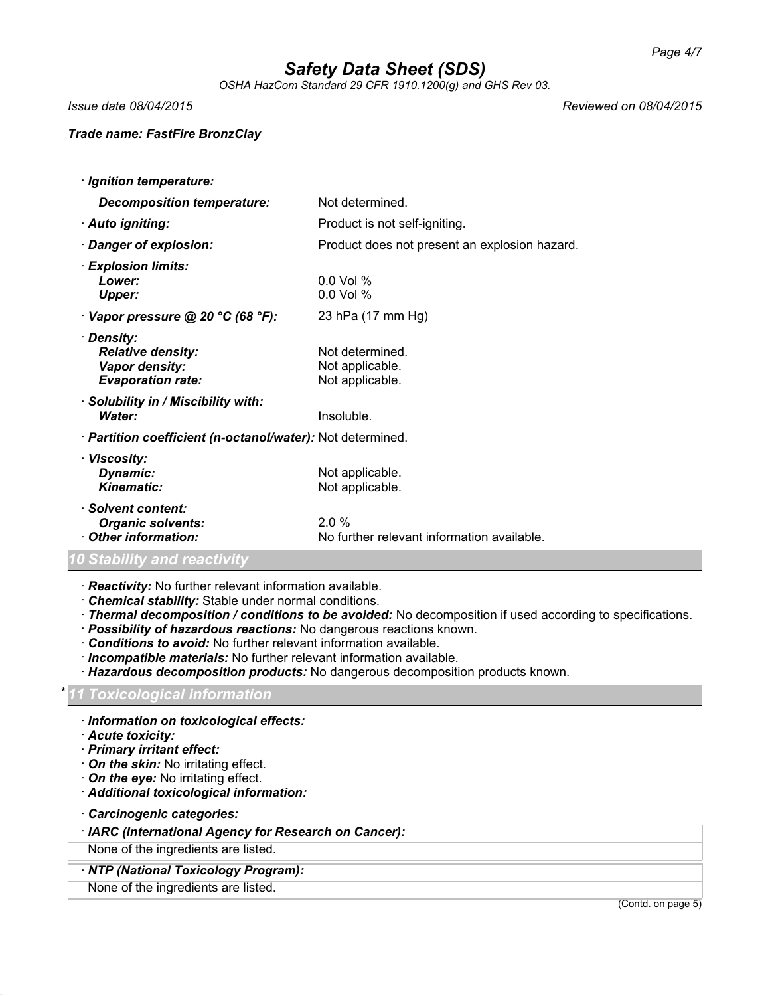*OSHA HazCom Standard 29 CFR 1910.1200(g) and GHS Rev 03.*

*Issue date 08/04/2015 Reviewed on 08/04/2015*

## *Trade name: FastFire BronzClay*

· *Ignition temperature: Decomposition temperature:* Not determined. · **Auto igniting:** Product is not self-igniting. · *Danger of explosion:* Product does not present an explosion hazard. · *Explosion limits: Lower:* 0.0 Vol % *Upper:* 0.0 Vol % · *Vapor pressure @ 20 °C (68 °F):* 23 hPa (17 mm Hg) · *Density: Relative density:* Not determined. **Vapor density:** Not applicable. **Evaporation rate:** Not applicable. · *Solubility in / Miscibility with:* **Water:** Insoluble. · *Partition coefficient (n-octanol/water):* Not determined. · *Viscosity:* **Dynamic:** Not applicable.<br> **Kinematic:** Not applicable. Not applicable. · *Solvent content:* **Organic solvents:** 2.0 %<br> **Other information:** No fur No further relevant information available. *10 Stability and reactivity*

· *Reactivity:* No further relevant information available.

- · *Chemical stability:* Stable under normal conditions.
- · *Thermal decomposition / conditions to be avoided:* No decomposition if used according to specifications.
- · *Possibility of hazardous reactions:* No dangerous reactions known.
- · *Conditions to avoid:* No further relevant information available.
- · *Incompatible materials:* No further relevant information available.
- · *Hazardous decomposition products:* No dangerous decomposition products known.

## \* *11 Toxicological information*

- · *Information on toxicological effects:*
- · *Acute toxicity:*
- · *Primary irritant effect:*
- · *On the skin:* No irritating effect.
- · *On the eye:* No irritating effect.
- · *Additional toxicological information:*
- · *Carcinogenic categories:*

## · *IARC (International Agency for Research on Cancer):*

#### None of the ingredients are listed.

# · *NTP (National Toxicology Program):*

None of the ingredients are listed.

(Contd. on page 5)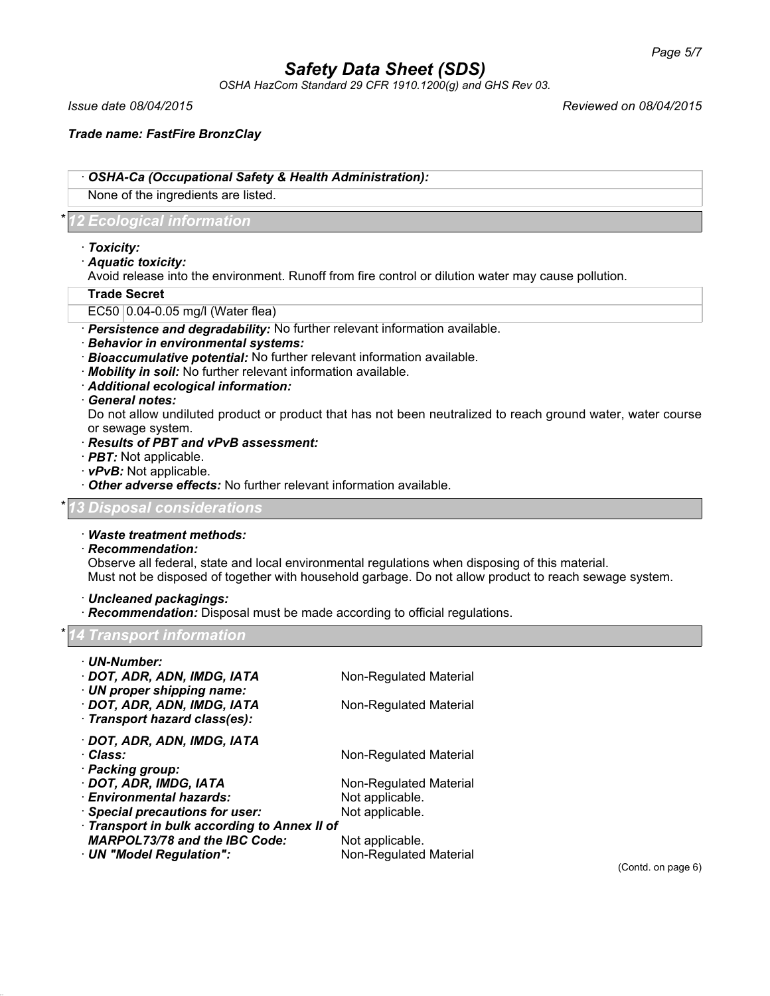*OSHA HazCom Standard 29 CFR 1910.1200(g) and GHS Rev 03.*

*Issue date 08/04/2015 Reviewed on 08/04/2015*

*Trade name: FastFire BronzClay*

· *OSHA-Ca (Occupational Safety & Health Administration):*

None of the ingredients are listed.

# \* *12 Ecological information*

- · *Toxicity:*
- · *Aquatic toxicity:*

Avoid release into the environment. Runoff from fire control or dilution water may cause pollution.

### **Trade Secret**

- EC50 0.04-0.05 mg/l (Water flea)
- · *Persistence and degradability:* No further relevant information available.
- · *Behavior in environmental systems:*
- · *Bioaccumulative potential:* No further relevant information available.
- · *Mobility in soil:* No further relevant information available.
- · *Additional ecological information:*

### · *General notes:*

Do not allow undiluted product or product that has not been neutralized to reach ground water, water course or sewage system.

- · *Results of PBT and vPvB assessment:*
- · *PBT:* Not applicable.
- · *vPvB:* Not applicable.
- · *Other adverse effects:* No further relevant information available.

*Disposal considerations* 

# · *Waste treatment methods:*

# · *Recommendation:*

Observe all federal, state and local environmental regulations when disposing of this material. Must not be disposed of together with household garbage. Do not allow product to reach sewage system.

## · *Uncleaned packagings:*

· *Recommendation:* Disposal must be made according to official regulations.

## \* *14 Transport information*

| · UN-Number:<br>· DOT, ADR, ADN, IMDG, IATA<br>· UN proper shipping name:<br>· DOT, ADR, ADN, IMDG, IATA<br>· Transport hazard class(es): | Non-Regulated Material<br>Non-Regulated Material |
|-------------------------------------------------------------------------------------------------------------------------------------------|--------------------------------------------------|
| · DOT, ADR, ADN, IMDG, IATA<br>· Class:<br>· Packing group:                                                                               | Non-Regulated Material                           |
| · DOT, ADR, IMDG, IATA                                                                                                                    | Non-Regulated Material                           |
| · Environmental hazards:                                                                                                                  | Not applicable.                                  |
| · Special precautions for user:                                                                                                           | Not applicable.                                  |
| · Transport in bulk according to Annex II of                                                                                              |                                                  |
| <b>MARPOL73/78 and the IBC Code:</b>                                                                                                      | Not applicable.                                  |
| · UN "Model Regulation":                                                                                                                  | Non-Regulated Material                           |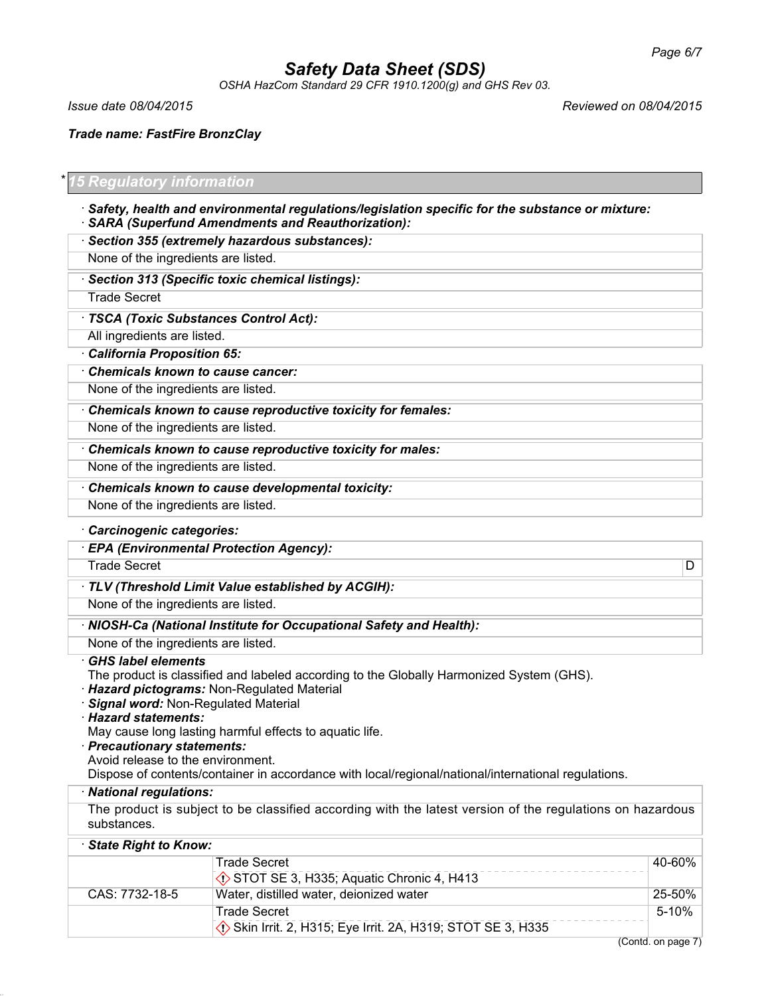*OSHA HazCom Standard 29 CFR 1910.1200(g) and GHS Rev 03.*

*Issue date 08/04/2015 Reviewed on 08/04/2015*

*Trade name: FastFire BronzClay*

# \* *15 Regulatory information*

- · *Safety, health and environmental regulations/legislation specific for the substance or mixture:* · *SARA (Superfund Amendments and Reauthorization):*
- · *Section 355 (extremely hazardous substances):*

None of the ingredients are listed.

· *Section 313 (Specific toxic chemical listings):*

Trade Secret

· *TSCA (Toxic Substances Control Act):*

All ingredients are listed.

· *California Proposition 65:*

· *Chemicals known to cause cancer:* None of the ingredients are listed.

· *Chemicals known to cause reproductive toxicity for females:*

None of the ingredients are listed.

· *Chemicals known to cause reproductive toxicity for males:*

None of the ingredients are listed.

· *Chemicals known to cause developmental toxicity:*

None of the ingredients are listed.

## · *Carcinogenic categories:*

· *EPA (Environmental Protection Agency):* Trade Secret **D** 

· *TLV (Threshold Limit Value established by ACGIH):*

None of the ingredients are listed.

· *NIOSH-Ca (National Institute for Occupational Safety and Health):*

None of the ingredients are listed.

## · *GHS label elements*

The product is classified and labeled according to the Globally Harmonized System (GHS).

- · *Hazard pictograms:* Non-Regulated Material
- · *Signal word:* Non-Regulated Material

· *Hazard statements:*

May cause long lasting harmful effects to aquatic life.

· *Precautionary statements:*

Avoid release to the environment.

Dispose of contents/container in accordance with local/regional/national/international regulations.

#### · *National regulations:*

The product is subject to be classified according with the latest version of the regulations on hazardous substances.

| State Right to Know: |                                                           |        |
|----------------------|-----------------------------------------------------------|--------|
|                      | <b>Trade Secret</b>                                       | 40-60% |
|                      | STOT SE 3, H335; Aquatic Chronic 4, H413                  |        |
| CAS: 7732-18-5       | Water, distilled water, deionized water                   | 25-50% |
|                      | <b>Trade Secret</b>                                       | 5-10%  |
|                      | Skin Irrit. 2, H315; Eye Irrit. 2A, H319; STOT SE 3, H335 |        |